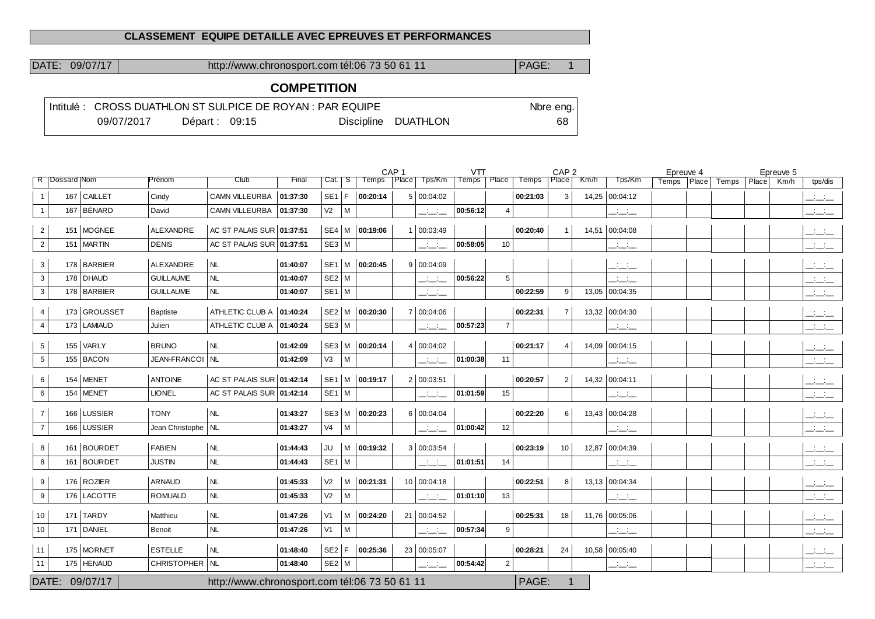#### **CLASSEMENT EQUIPE DETAILLE AVEC EPREUVES ET PERFORMANCES**

DATE: 09/07/17 http://www.chronosport.com tél:06 73 50 61 11 PAGE: 1

### **COMPETITION**

|            |                 | Intitulé : CROSS DUATHLON ST SULPICE DE ROYAN : PAR EQUIPE |                     | Nbre eng. |
|------------|-----------------|------------------------------------------------------------|---------------------|-----------|
| 09/07/2017 | Départ: $09:15$ |                                                            | Discipline DUATHLON | 68.       |

|                   |                            |                                 |                                               |          |                |   | CAP <sub>1</sub> |                   |              | <b>VTT</b>   |                |              | CAP <sub>2</sub> |       |                | Epreuve 4 |       |       |       | Epreuve 5 |           |
|-------------------|----------------------------|---------------------------------|-----------------------------------------------|----------|----------------|---|------------------|-------------------|--------------|--------------|----------------|--------------|------------------|-------|----------------|-----------|-------|-------|-------|-----------|-----------|
| R   Dossard   Nom |                            | Prénom                          | Club                                          | Final    | Cat.           | S | Temps            | Place <sup></sup> | Tps/Km       | <b>Temps</b> | Place          | <b>Temps</b> | Place            | Km/h  | Tps/Km         | Temps     | Place | Temps | Place | Km/h      | tps/dis   |
|                   | 167 CAILLET                | Cindy                           | <b>CAMN VILLEURBA</b>                         | 01:37:30 | SE1 F          |   | 00:20:14         |                   | 5   00:04:02 |              |                | 00:21:03     | 3                |       | 14,25 00:04:12 |           |       |       |       |           | للمناصب   |
| -1                | 167 BÉNARD                 | David                           | CAMN VILLEURBA                                | 01:37:30 | V <sub>2</sub> | M |                  |                   | للنائب       | 00:56:12     | $\overline{4}$ |              |                  |       | للتنافث        |           |       |       |       |           | المنافسات |
| $\overline{2}$    | 151 MOGNEE                 | ALEXANDRE                       | AC ST PALAIS SUR 01:37:51                     |          |                |   | SE4 M 00:19:06   |                   | 00:03:49     |              |                | 00:20:40     | $\mathbf 1$      | 14,51 | 00:04:08       |           |       |       |       |           | للتنائب   |
| $\overline{2}$    | 151 MARTIN                 | <b>DENIS</b>                    | AC ST PALAIS SUR 01:37:51                     |          | $SE3$ M        |   |                  |                   | للنائب       | 00:58:05     | 10             |              |                  |       | المنافسات      |           |       |       |       |           | المنافسات |
| 3                 | 178 BARBIER                | ALEXANDRE                       | <b>NL</b>                                     | 01:40:07 |                |   | SE1 M 00:20:45   |                   | 9   00:04:09 |              |                |              |                  |       | للتنافث        |           |       |       |       |           | للتنافث   |
| $\sqrt{3}$        | 178 DHAUD                  | <b>GUILLAUME</b>                | NL                                            | 01:40:07 | $SE2$ M        |   |                  |                   | للمناب       | 00:56:22     | 5              |              |                  |       | للمناب         |           |       |       |       |           | للنائب    |
| 3                 | 178 BARBIER                | <b>GUILLAUME</b>                | <b>NL</b>                                     | 01:40:07 | $SE1$ M        |   |                  |                   | المناسبات    |              |                | 00:22:59     | 9                |       | 13,05 00:04:35 |           |       |       |       |           | للتناشيات |
| $\overline{4}$    | 173 GROUSSET               | Baptiste                        | ATHLETIC CLUB A 01:40:24                      |          |                |   | SE2 M 00:20:30   |                   | 7 00:04:06   |              |                | 00:22:31     | $\overline{7}$   |       | 13,32 00:04:30 |           |       |       |       |           | للتنائب   |
| $\overline{4}$    | 173 LAMIAUD                | Julien                          | ATHLETIC CLUB A   01:40:24                    |          | $SE3$ M        |   |                  |                   | للتناقب      | 00:57:23     | $\overline{7}$ |              |                  |       | للتنافث        |           |       |       |       |           | للمنافث   |
|                   |                            |                                 |                                               |          |                |   |                  |                   |              |              |                |              |                  |       |                |           |       |       |       |           |           |
| 5                 | $155$ VARLY<br>$155$ BACON | <b>BRUNO</b><br>JEAN-FRANCOI NL | NL                                            | 01:42:09 |                |   | SE3 M 00:20:14   |                   | 4   00:04:02 |              |                | 00:21:17     | $\overline{4}$   |       | 14,09 00:04:15 |           |       |       |       |           | المنافسات |
| $5\phantom{.0}$   |                            |                                 |                                               | 01:42:09 | V <sub>3</sub> | M |                  |                   | للمناب       | 01:00:38     | 11             |              |                  |       | للتناقب        |           |       |       |       |           | للمنافث   |
| 6                 | 154 MENET                  | <b>ANTOINE</b>                  | AC ST PALAIS SUR 01:42:14                     |          |                |   | SE1 M 00:19:17   |                   | 2   00:03:51 |              |                | 00:20:57     | $\overline{2}$   |       | 14,32 00:04:11 |           |       |       |       |           | للتناشيذ  |
| 6                 | $154$ MENET                | <b>LIONEL</b>                   | AC ST PALAIS SUR 01:42:14                     |          | $SE1$ M        |   |                  |                   | للمناب       | 01:01:59     | 15             |              |                  |       | للتنافث        |           |       |       |       |           | للتناشيات |
| $\overline{7}$    | 166 LUSSIER                | <b>TONY</b>                     | NL                                            | 01:43:27 |                |   | SE3 M 00:20:23   |                   | 6   00:04:04 |              |                | 00:22:20     | 6                |       | 13,43 00:04:28 |           |       |       |       |           | المنافسات |
| $\overline{7}$    | 166 LUSSIER                | Jean Christophe   NL            |                                               | 01:43:27 | V <sub>4</sub> | M |                  |                   | للمناب       | 01:00:42     | 12             |              |                  |       | المناصب        |           |       |       |       |           | للمناسب   |
| 8                 | 161 BOURDET                | <b>FABIEN</b>                   | <b>NL</b>                                     | 01:44:43 | JU             | M | 00:19:32         |                   | 3   00:03:54 |              |                | 00:23:19     | 10               |       | 12,87 00:04:39 |           |       |       |       |           | المنافسات |
| 8                 | 161 BOURDET                | <b>JUSTIN</b>                   | NL                                            | 01:44:43 | $SE1$ M        |   |                  |                   | للتنافث      | 01:01:51     | 14             |              |                  |       | للتاسات        |           |       |       |       |           | المنافسات |
| 9                 | 176 ROZIER                 | ARNAUD                          | <b>NL</b>                                     | 01:45:33 | V <sub>2</sub> |   | M   00:21:31     |                   | 10 00:04:18  |              |                | 00:22:51     | 8                |       | 13,13 00:04:34 |           |       |       |       |           | للنائب    |
| 9                 | 176 LACOTTE                | <b>ROMUALD</b>                  | NL                                            | 01:45:33 | V <sub>2</sub> | M |                  |                   | للمناب       | 01:01:10     | 13             |              |                  |       | المناسبات      |           |       |       |       |           | للتنائب   |
|                   |                            |                                 |                                               |          |                |   |                  |                   |              |              |                |              |                  |       |                |           |       |       |       |           |           |
| 10                | 171 TARDY                  | Matthieu                        | <b>NL</b>                                     | 01:47:26 | V1             |   | M   00:24:20     |                   | 21 00:04:52  |              |                | 00:25:31     | 18               |       | 11,76 00:05:06 |           |       |       |       |           | المنافسات |
| 10                | 171 DANIEL                 | Benoit                          | NL                                            | 01:47:26 | V1             | M |                  |                   | المنافسات    | 00:57:34     | 9              |              |                  |       | للتنافث        |           |       |       |       |           | للمناصف   |
| 11                | 175 MORNET                 | <b>ESTELLE</b>                  | <b>NL</b>                                     | 01:48:40 | $SE2$ F        |   | 00:25:36         |                   | 23 00:05:07  |              |                | 00:28:21     | 24               |       | 10,58 00:05:40 |           |       |       |       |           | للنائب    |
| 11                | 175   HENAUD               | CHRISTOPHER   NL                |                                               | 01:48:40 | SE2 M          |   |                  |                   | سنست         | 00:54:42     | $\overline{2}$ |              |                  |       | للتائب         |           |       |       |       |           | للتنائب   |
|                   | DATE: 09/07/17             |                                 | http://www.chronosport.com tél:06 73 50 61 11 |          |                |   |                  |                   |              |              |                | PAGE:        | $\overline{1}$   |       |                |           |       |       |       |           |           |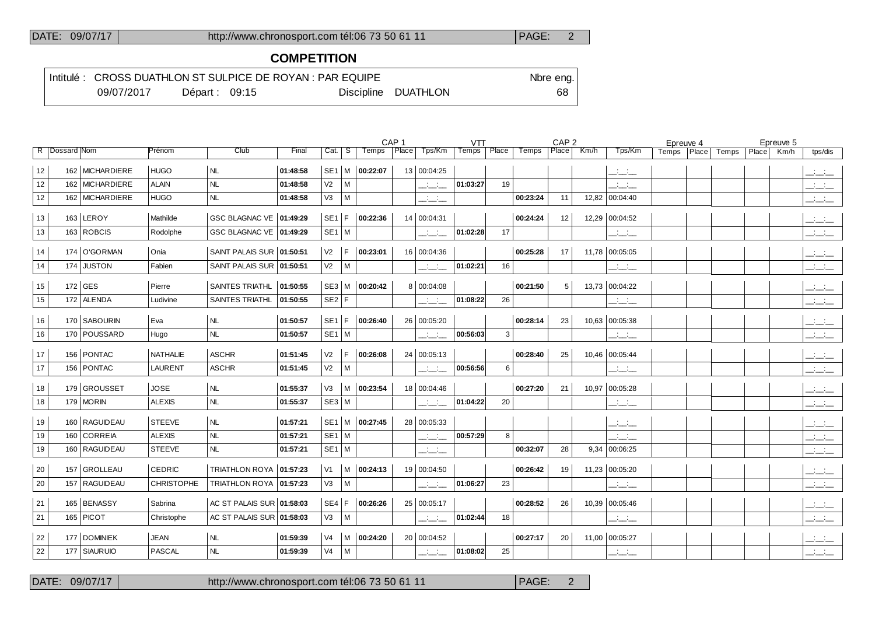#### DATE: 09/07/17 http://www.chronosport.com tél:06 73 50 61 11 PAGE: 2

### **COMPETITION**

|  |            |                 | Intitulé : CROSS DUATHLON ST SULPICE DE ROYAN : PAR EQUIPE |                     | Nbre eng. |
|--|------------|-----------------|------------------------------------------------------------|---------------------|-----------|
|  | 09/07/2017 | Départ: $09:15$ |                                                            | Discipline DUATHLON | 68        |

|                   |                 |                   |                              |          |                 |      |                | CAP <sub>1</sub> |                | <b>VTT</b> |       |          | CAP <sub>2</sub> |      |                 | Epreuve 4 |       |       |       | Epreuve 5 |           |
|-------------------|-----------------|-------------------|------------------------------|----------|-----------------|------|----------------|------------------|----------------|------------|-------|----------|------------------|------|-----------------|-----------|-------|-------|-------|-----------|-----------|
| R   Dossard   Nom |                 | Prénom            | Club                         | Final    | $Cat \,   \, S$ |      | Temps          |                  | Place   Tps/Km | Temps      | Place | Temps    | Place            | Km/h | Tps/Km          | Temps     | Place | Temps | Place | Km/h      | tps/dis   |
| 12                | 162 MICHARDIERE | <b>HUGO</b>       | NL                           | 01:48:58 | SE <sub>1</sub> | l M  | 00:22:07       |                  | 13 00:04:25    |            |       |          |                  |      | للتناشيذ        |           |       |       |       |           | للتناشيات |
| 12                | 162 MICHARDIERE | ALAIN             | <b>NL</b>                    | 01:48:58 | V <sub>2</sub>  | M    |                |                  | للأسائل        | 01:03:27   | 19    |          |                  |      | للتناشيذ        |           |       |       |       |           | للتناشيات |
| 12                | 162 MICHARDIERE | <b>HUGO</b>       | <b>NL</b>                    | 01:48:58 | V3              | M    |                |                  | للتنافث        |            |       | 00:23:24 | 11               |      | 12,82 00:04:40  |           |       |       |       |           | للمنابث   |
| 13                | 163 LEROY       | Mathilde          | GSC BLAGNAC VE 01:49:29      |          | SE <sub>1</sub> | l F. | 00:22:36       |                  | 14 00:04:31    |            |       | 00:24:24 | 12               |      | 12,29 00:04:52  |           |       |       |       |           | سنسند     |
| 13                | 163 ROBCIS      | Rodolphe          | GSC BLAGNAC VE   01:49:29    |          | $SE1$ M         |      |                |                  | للتناشي        | 01:02:28   | 17    |          |                  |      | المنافذ         |           |       |       |       |           | للمناصب   |
| 14                | 174 O'GORMAN    | Onia              | SAINT PALAIS SUR 01:50:51    |          | V <sub>2</sub>  | F.   | 00:23:01       |                  | 16 00:04:36    |            |       | 00:25:28 | 17               |      | 11,78 00:05:05  |           |       |       |       |           | للتنافث   |
| 14                | 174 JUSTON      | Fabien            | SAINT PALAIS SUR 01:50:51    |          | V <sub>2</sub>  | M    |                |                  | للتحاجب        | 01:02:21   | 16    |          |                  |      | للتناشيذ        |           |       |       |       |           | للمناصب   |
| 15                | $172$ GES       | Pierre            | <b>SAINTES TRIATHL</b>       | 01:50:55 |                 |      | SE3 M 00:20:42 |                  | 8 00:04:08     |            |       | 00:21:50 | 5                |      | 13,73 00:04:22  |           |       |       |       |           | للتناشيات |
| 15                | 172 ALENDA      | Ludivine          | <b>SAINTES TRIATHL</b>       | 01:50:55 | SE2 F           |      |                |                  | للتنافث        | 01:08:22   | 26    |          |                  |      | المنافضة        |           |       |       |       |           | للمناصب   |
| 16                | 170 SABOURIN    | Eva               | NL                           | 01:50:57 | SE <sub>1</sub> | F.   | 00:26:40       |                  | 26 00:05:20    |            |       | 00:28:14 | 23               |      | 10,63 00:05:38  |           |       |       |       |           | للتنافث   |
| 16                | 170   POUSSARD  | Hugo              | NL                           | 01:50:57 | $SE1$ M         |      |                |                  | المنافسات      | 00:56:03   | 3     |          |                  |      | للتناشي         |           |       |       |       |           | للمناب    |
|                   |                 |                   |                              |          |                 |      |                |                  |                |            |       |          |                  |      |                 |           |       |       |       |           |           |
| 17                | 156 PONTAC      | <b>NATHALIE</b>   | <b>ASCHR</b>                 | 01:51:45 | V <sub>2</sub>  | F.   | 00:26:08       |                  | 24   00:05:13  |            |       | 00:28:40 | 25               |      | 10,46 00:05:44  |           |       |       |       |           | للتنافث   |
| 17                | 156   PONTAC    | <b>LAURENT</b>    | <b>ASCHR</b>                 | 01:51:45 | V <sub>2</sub>  | M    |                |                  | للتنافث        | 00:56:56   | 6     |          |                  |      | للتناشيذ        |           |       |       |       |           | للمناسب   |
| 18                | 179 GROUSSET    | <b>JOSE</b>       | NL                           | 01:55:37 | V3              | M    | 00:23:54       |                  | 18 00:04:46    |            |       | 00:27:20 | 21               |      | 10,97 00:05:28  |           |       |       |       |           | للتنافث   |
| 18                | 179   MORIN     | <b>ALEXIS</b>     | NL                           | 01:55:37 | $SE3$ M         |      |                |                  | للتنافث        | 01:04:22   | 20    |          |                  |      | للتناشي         |           |       |       |       |           | للمناب    |
| 19                | 160 RAGUIDEAU   | <b>STEEVE</b>     | NL                           | 01:57:21 | SE <sub>1</sub> | M    | 00:27:45       |                  | 28 00:05:33    |            |       |          |                  |      | سنسند           |           |       |       |       |           | للمناسب   |
| 19                | 160 CORREIA     | <b>ALEXIS</b>     | <b>NL</b>                    | 01:57:21 | $SE1$ M         |      |                |                  | للتانب         | 00:57:29   | 8     |          |                  |      | للمناصب         |           |       |       |       |           | للمناب    |
| 19                | 160   RAGUIDEAU | <b>STEEVE</b>     | NL                           | 01:57:21 | $SE1$ M         |      |                |                  | للتانب         |            |       | 00:32:07 | 28               |      | 9,34   00:06:25 |           |       |       |       |           | للمناصب   |
| 20                | 157 GROLLEAU    | <b>CEDRIC</b>     | <b>TRIATHLON ROYA</b>        | 01:57:23 | V <sub>1</sub>  | M    | 00:24:13       |                  | 19 00:04:50    |            |       | 00:26:42 | 19               |      | 11,23 00:05:20  |           |       |       |       |           | للتنافث   |
| 20                | 157 RAGUIDEAU   | <b>CHRISTOPHE</b> | <b>TRIATHLON ROYA</b>        | 01:57:23 | V3              | M    |                |                  | للتناقب        | 01:06:27   | 23    |          |                  |      | للتنافث         |           |       |       |       |           | للتنافث   |
|                   |                 |                   |                              |          |                 |      |                |                  |                |            |       |          |                  |      |                 |           |       |       |       |           |           |
| 21                | 165 BENASSY     | Sabrina           | AC ST PALAIS SUR 01:58:03    |          | SE4             | F.   | 00:26:26       |                  | 25 00:05:17    |            |       | 00:28:52 | 26               |      | 10,39 00:05:46  |           |       |       |       |           | المنافذ   |
| 21                | $165$ PICOT     | Christophe        | $ACST$ PALAIS SUR $O1:58:03$ |          | V3              | M    |                |                  | للتنافث        | 01:02:44   | 18    |          |                  |      | للتناشيذ        |           |       |       |       |           | للتنافث   |
| 22                | 177 DOMINIEK    | <b>JEAN</b>       | NL                           | 01:59:39 | V4              | M    | 00:24:20       |                  | 20 00:04:52    |            |       | 00:27:17 | 20               |      | 11,00 00:05:27  |           |       |       |       |           | للتناشيات |
| 22                | 177 SIAURUIO    | <b>PASCAL</b>     | NL                           | 01:59:39 | V4              | M    |                |                  | للتنافث        | 01:08:02   | 25    |          |                  |      | للتناشيذ        |           |       |       |       |           | للتنافث   |
|                   |                 |                   |                              |          |                 |      |                |                  |                |            |       |          |                  |      |                 |           |       |       |       |           |           |

DATE: 09/07/17 http://www.chronosport.com tél:06 73 50 61 11 PAGE: 2